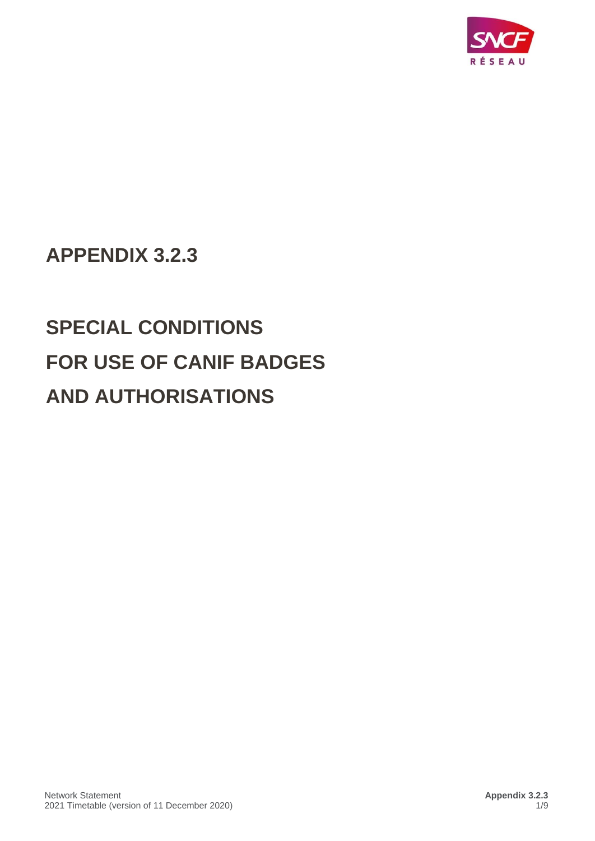

## **APPENDIX 3.2.3**

# **SPECIAL CONDITIONS FOR USE OF CANIF BADGES AND AUTHORISATIONS**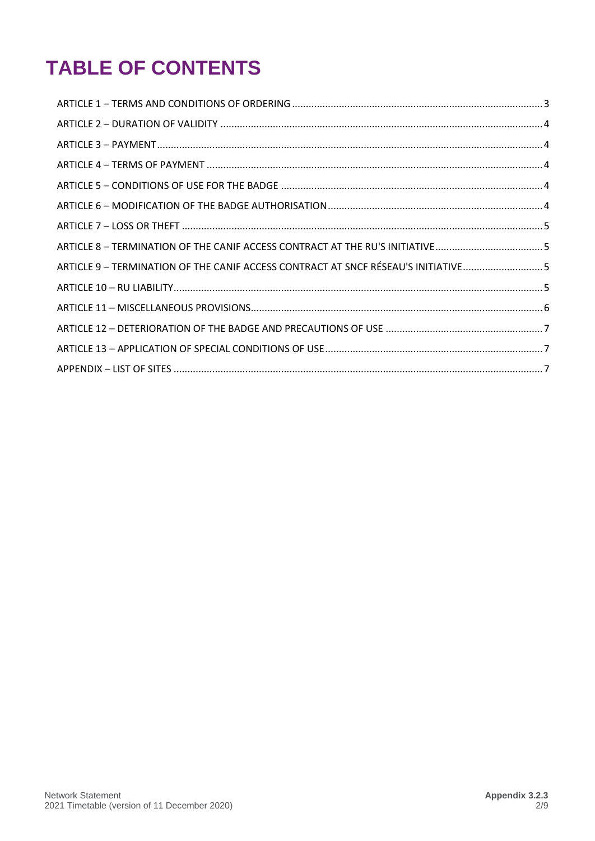# **TABLE OF CONTENTS**

| ARTICLE 8 - TERMINATION OF THE CANIF ACCESS CONTRACT AT THE RU'S INITIATIVE5      |  |
|-----------------------------------------------------------------------------------|--|
| ARTICLE 9 - TERMINATION OF THE CANIF ACCESS CONTRACT AT SNCF RÉSEAU'S INITIATIVE5 |  |
|                                                                                   |  |
|                                                                                   |  |
|                                                                                   |  |
|                                                                                   |  |
|                                                                                   |  |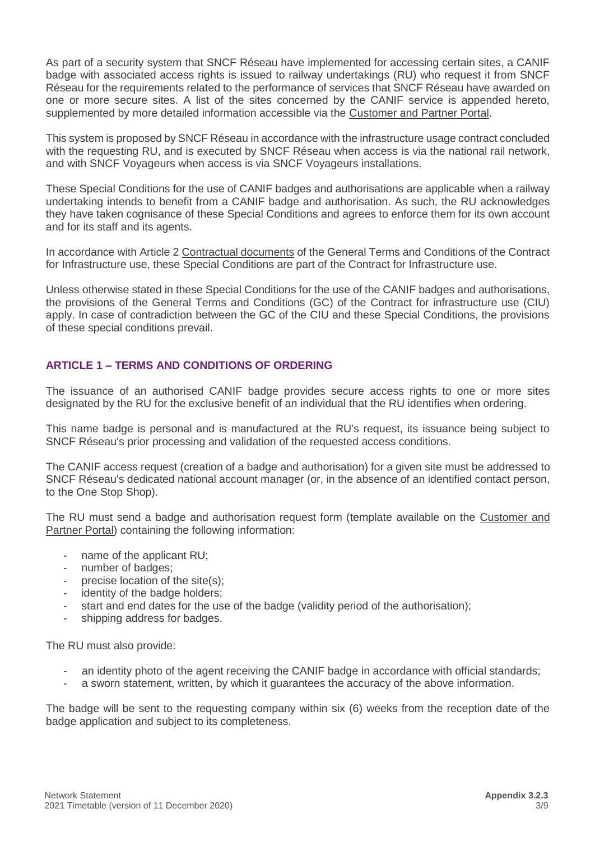As part of a security system that SNCF Réseau have implemented for accessing certain sites, a CANIF badge with associated access rights is issued to railway undertakings (RU) who request it from SNCF Réseau for the requirements related to the performance of services that SNCF Réseau have awarded on one or more secure sites. A list of the sites concerned by the CANIF service is appended hereto, supplemented by more detailed information accessible via the [Customer and Partner Portal.](https://extranet.rff.fr/rff/j_6/fr/accueil)

This system is proposed by SNCF Réseau in accordance with the infrastructure usage contract concluded with the requesting RU, and is executed by SNCF Réseau when access is via the national rail network, and with SNCF Voyageurs when access is via SNCF Voyageurs installations.

These Special Conditions for the use of CANIF badges and authorisations are applicable when a railway undertaking intends to benefit from a CANIF badge and authorisation. As such, the RU acknowledges they have taken cognisance of these Special Conditions and agrees to enforce them for its own account and for its staff and its agents.

In accordance with Article 2 Contractual documents of the General Terms and Conditions of the Contract for Infrastructure use, these Special Conditions are part of the Contract for Infrastructure use.

Unless otherwise stated in these Special Conditions for the use of the CANIF badges and authorisations, the provisions of the General Terms and Conditions (GC) of the Contract for infrastructure use (CIU) apply. In case of contradiction between the GC of the CIU and these Special Conditions, the provisions of these special conditions prevail.

#### <span id="page-2-0"></span>**ARTICLE 1 – TERMS AND CONDITIONS OF ORDERING**

The issuance of an authorised CANIF badge provides secure access rights to one or more sites designated by the RU for the exclusive benefit of an individual that the RU identifies when ordering.

This name badge is personal and is manufactured at the RU's request, its issuance being subject to SNCF Réseau's prior processing and validation of the requested access conditions.

The CANIF access request (creation of a badge and authorisation) for a given site must be addressed to SNCF Réseau's dedicated national account manager (or, in the absence of an identified contact person, to the One Stop Shop).

The RU must send a badge and authorisation request form (template available on the Customer and [Partner Portal\)](https://extranet.rff.fr/rff/j_6/fr/accueil) containing the following information:

- name of the applicant RU;
- number of badges;
- precise location of the site $(s)$ ;
- identity of the badge holders;
- start and end dates for the use of the badge (validity period of the authorisation);
- shipping address for badges.

The RU must also provide:

- an identity photo of the agent receiving the CANIF badge in accordance with official standards;
- a sworn statement, written, by which it guarantees the accuracy of the above information.

The badge will be sent to the requesting company within six (6) weeks from the reception date of the badge application and subject to its completeness.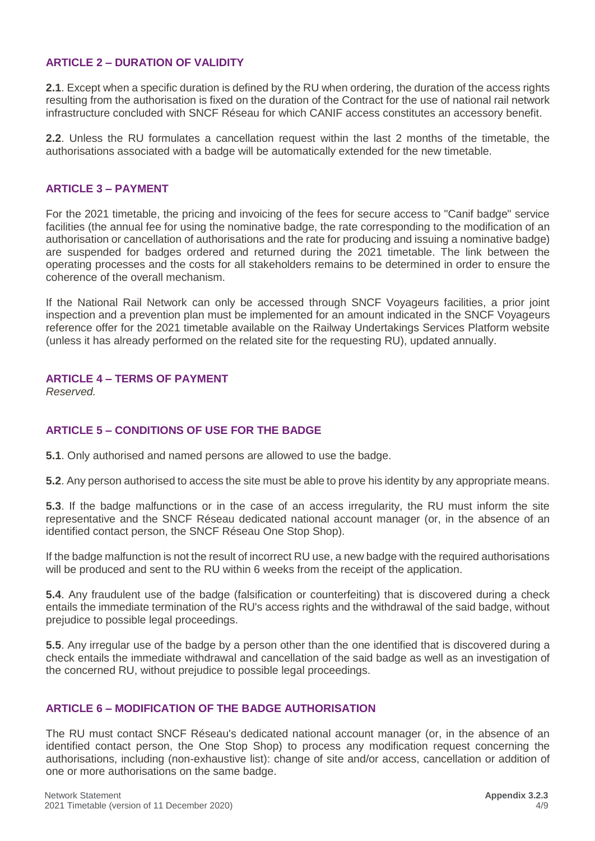#### <span id="page-3-0"></span>**ARTICLE 2 – DURATION OF VALIDITY**

**2.1**. Except when a specific duration is defined by the RU when ordering, the duration of the access rights resulting from the authorisation is fixed on the duration of the Contract for the use of national rail network infrastructure concluded with SNCF Réseau for which CANIF access constitutes an accessory benefit.

**2.2**. Unless the RU formulates a cancellation request within the last 2 months of the timetable, the authorisations associated with a badge will be automatically extended for the new timetable.

#### <span id="page-3-1"></span>**ARTICLE 3 – PAYMENT**

For the 2021 timetable, the pricing and invoicing of the fees for secure access to "Canif badge" service facilities (the annual fee for using the nominative badge, the rate corresponding to the modification of an authorisation or cancellation of authorisations and the rate for producing and issuing a nominative badge) are suspended for badges ordered and returned during the 2021 timetable. The link between the operating processes and the costs for all stakeholders remains to be determined in order to ensure the coherence of the overall mechanism.

If the National Rail Network can only be accessed through SNCF Voyageurs facilities, a prior joint inspection and a prevention plan must be implemented for an amount indicated in the SNCF Voyageurs reference offer for the 2021 timetable available on the Railway Undertakings Services Platform website (unless it has already performed on the related site for the requesting RU), updated annually.

#### <span id="page-3-2"></span>**ARTICLE 4 – TERMS OF PAYMENT**

*Reserved.*

#### <span id="page-3-3"></span>**ARTICLE 5 – CONDITIONS OF USE FOR THE BADGE**

**5.1**. Only authorised and named persons are allowed to use the badge.

**5.2**. Any person authorised to access the site must be able to prove his identity by any appropriate means.

**5.3**. If the badge malfunctions or in the case of an access irregularity, the RU must inform the site representative and the SNCF Réseau dedicated national account manager (or, in the absence of an identified contact person, the SNCF Réseau One Stop Shop).

If the badge malfunction is not the result of incorrect RU use, a new badge with the required authorisations will be produced and sent to the RU within 6 weeks from the receipt of the application.

**5.4**. Any fraudulent use of the badge (falsification or counterfeiting) that is discovered during a check entails the immediate termination of the RU's access rights and the withdrawal of the said badge, without prejudice to possible legal proceedings.

**5.5**. Any irregular use of the badge by a person other than the one identified that is discovered during a check entails the immediate withdrawal and cancellation of the said badge as well as an investigation of the concerned RU, without prejudice to possible legal proceedings.

#### <span id="page-3-4"></span>**ARTICLE 6 – MODIFICATION OF THE BADGE AUTHORISATION**

The RU must contact SNCF Réseau's dedicated national account manager (or, in the absence of an identified contact person, the One Stop Shop) to process any modification request concerning the authorisations, including (non-exhaustive list): change of site and/or access, cancellation or addition of one or more authorisations on the same badge.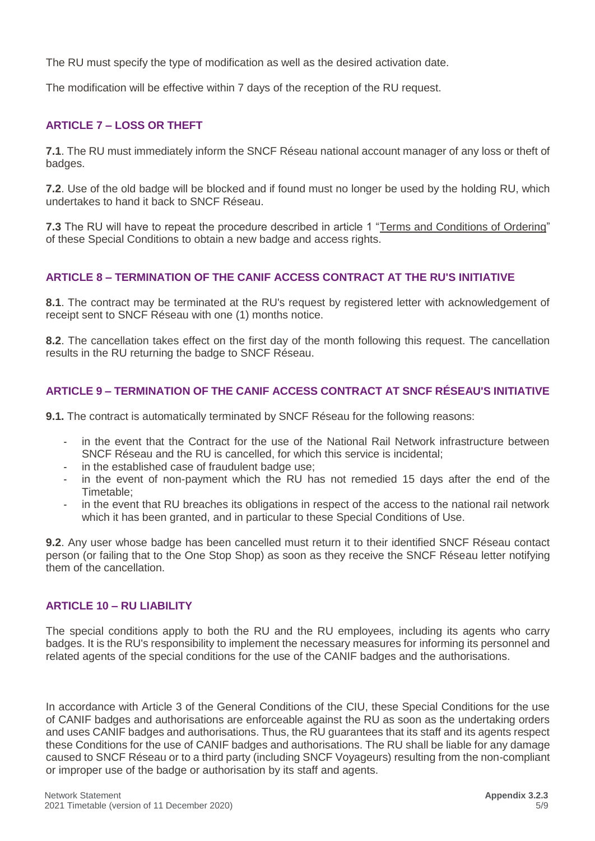The RU must specify the type of modification as well as the desired activation date.

The modification will be effective within 7 days of the reception of the RU request.

#### <span id="page-4-0"></span>**ARTICLE 7 – LOSS OR THEFT**

**7.1**. The RU must immediately inform the SNCF Réseau national account manager of any loss or theft of badges.

**7.2**. Use of the old badge will be blocked and if found must no longer be used by the holding RU, which undertakes to hand it back to SNCF Réseau.

**7.3** The RU will have to repeat the procedure described in article 1 "Terms and Conditions of Ordering" of these Special Conditions to obtain a new badge and access rights.

#### <span id="page-4-1"></span>**ARTICLE 8 – TERMINATION OF THE CANIF ACCESS CONTRACT AT THE RU'S INITIATIVE**

**8.1**. The contract may be terminated at the RU's request by registered letter with acknowledgement of receipt sent to SNCF Réseau with one (1) months notice.

**8.2**. The cancellation takes effect on the first day of the month following this request. The cancellation results in the RU returning the badge to SNCF Réseau.

#### <span id="page-4-2"></span>**ARTICLE 9 – TERMINATION OF THE CANIF ACCESS CONTRACT AT SNCF RÉSEAU'S INITIATIVE**

**9.1.** The contract is automatically terminated by SNCF Réseau for the following reasons:

- in the event that the Contract for the use of the National Rail Network infrastructure between SNCF Réseau and the RU is cancelled, for which this service is incidental;
- in the established case of fraudulent badge use;
- in the event of non-payment which the RU has not remedied 15 days after the end of the Timetable;
- in the event that RU breaches its obligations in respect of the access to the national rail network which it has been granted, and in particular to these Special Conditions of Use.

**9.2**. Any user whose badge has been cancelled must return it to their identified SNCF Réseau contact person (or failing that to the One Stop Shop) as soon as they receive the SNCF Réseau letter notifying them of the cancellation.

#### <span id="page-4-3"></span>**ARTICLE 10 – RU LIABILITY**

The special conditions apply to both the RU and the RU employees, including its agents who carry badges. It is the RU's responsibility to implement the necessary measures for informing its personnel and related agents of the special conditions for the use of the CANIF badges and the authorisations.

In accordance with Article 3 of the General Conditions of the CIU, these Special Conditions for the use of CANIF badges and authorisations are enforceable against the RU as soon as the undertaking orders and uses CANIF badges and authorisations. Thus, the RU guarantees that its staff and its agents respect these Conditions for the use of CANIF badges and authorisations. The RU shall be liable for any damage caused to SNCF Réseau or to a third party (including SNCF Voyageurs) resulting from the non-compliant or improper use of the badge or authorisation by its staff and agents.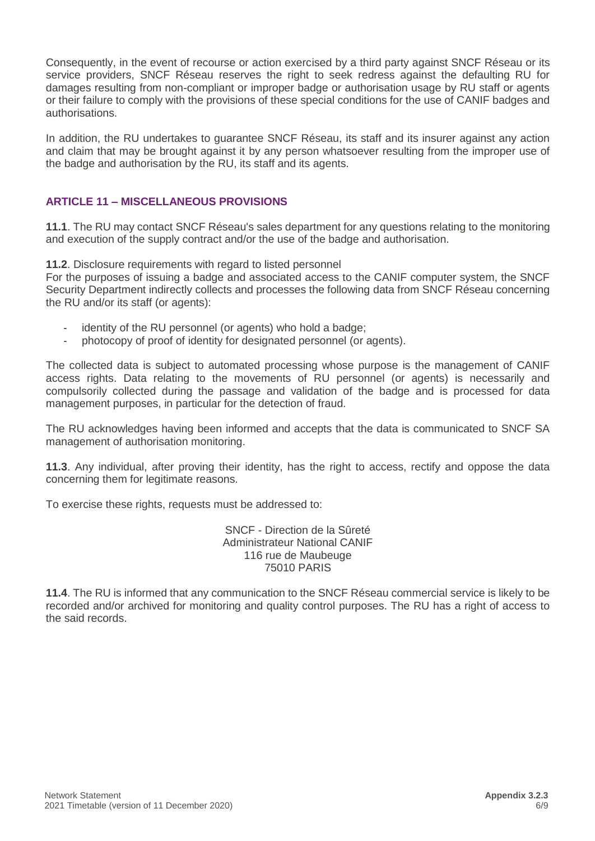Consequently, in the event of recourse or action exercised by a third party against SNCF Réseau or its service providers, SNCF Réseau reserves the right to seek redress against the defaulting RU for damages resulting from non-compliant or improper badge or authorisation usage by RU staff or agents or their failure to comply with the provisions of these special conditions for the use of CANIF badges and authorisations.

In addition, the RU undertakes to guarantee SNCF Réseau, its staff and its insurer against any action and claim that may be brought against it by any person whatsoever resulting from the improper use of the badge and authorisation by the RU, its staff and its agents.

#### <span id="page-5-0"></span>**ARTICLE 11 – MISCELLANEOUS PROVISIONS**

**11.1**. The RU may contact SNCF Réseau's sales department for any questions relating to the monitoring and execution of the supply contract and/or the use of the badge and authorisation.

**11.2**. Disclosure requirements with regard to listed personnel

For the purposes of issuing a badge and associated access to the CANIF computer system, the SNCF Security Department indirectly collects and processes the following data from SNCF Réseau concerning the RU and/or its staff (or agents):

- identity of the RU personnel (or agents) who hold a badge;
- photocopy of proof of identity for designated personnel (or agents).

The collected data is subject to automated processing whose purpose is the management of CANIF access rights. Data relating to the movements of RU personnel (or agents) is necessarily and compulsorily collected during the passage and validation of the badge and is processed for data management purposes, in particular for the detection of fraud.

The RU acknowledges having been informed and accepts that the data is communicated to SNCF SA management of authorisation monitoring.

**11.3**. Any individual, after proving their identity, has the right to access, rectify and oppose the data concerning them for legitimate reasons.

To exercise these rights, requests must be addressed to:

SNCF - Direction de la Sûreté Administrateur National CANIF 116 rue de Maubeuge 75010 PARIS

**11.4**. The RU is informed that any communication to the SNCF Réseau commercial service is likely to be recorded and/or archived for monitoring and quality control purposes. The RU has a right of access to the said records.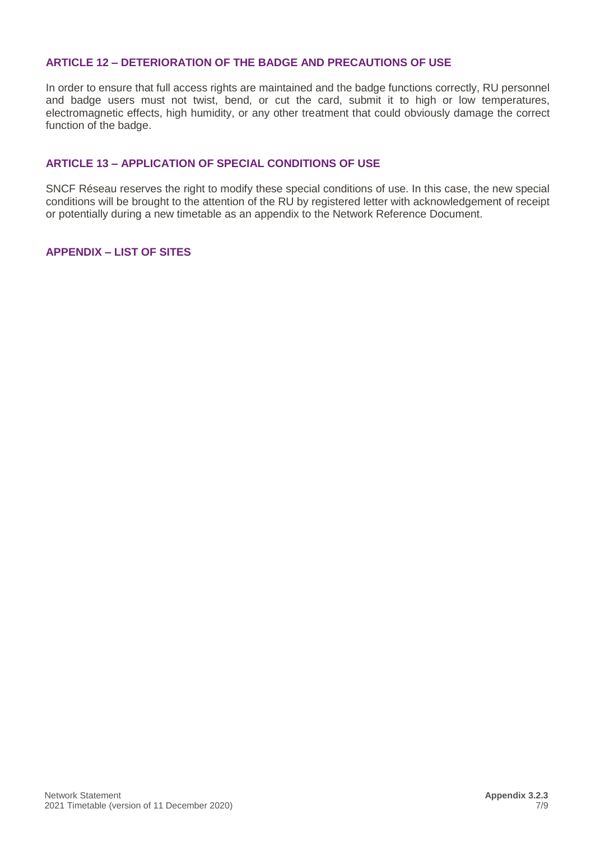#### <span id="page-6-0"></span>**ARTICLE 12 – DETERIORATION OF THE BADGE AND PRECAUTIONS OF USE**

In order to ensure that full access rights are maintained and the badge functions correctly, RU personnel and badge users must not twist, bend, or cut the card, submit it to high or low temperatures, electromagnetic effects, high humidity, or any other treatment that could obviously damage the correct function of the badge.

#### <span id="page-6-1"></span>**ARTICLE 13 – APPLICATION OF SPECIAL CONDITIONS OF USE**

SNCF Réseau reserves the right to modify these special conditions of use. In this case, the new special conditions will be brought to the attention of the RU by registered letter with acknowledgement of receipt or potentially during a new timetable as an appendix to the Network Reference Document.

#### <span id="page-6-2"></span>**APPENDIX – LIST OF SITES**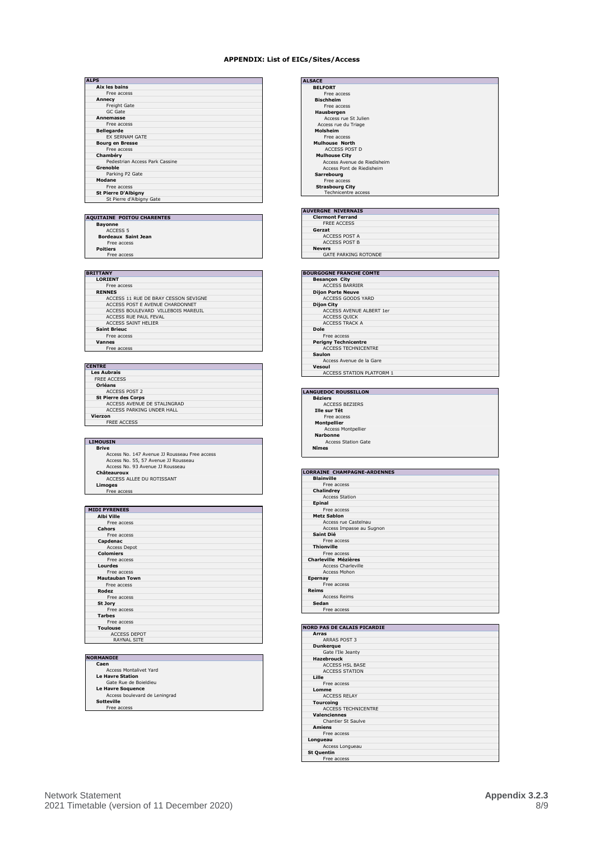#### **APPENDIX: List of EICs/Sites/Access**

| <b>ALPS</b> |                                |
|-------------|--------------------------------|
|             | Aix les bains                  |
|             | Free access                    |
|             | Annecy                         |
|             | <b>Freight Gate</b>            |
|             | GC Gate                        |
|             | Annemasse                      |
|             | Free access                    |
|             | <b>Bellegarde</b>              |
|             | <b>EX SERNAM GATE</b>          |
|             | <b>Bourg en Bresse</b>         |
|             | Free access                    |
|             | Chambéry                       |
|             | Pedestrian Access Park Cassine |
|             | Grenoble                       |
|             | Parking P2 Gate                |
|             | Modane                         |
|             | Free access                    |
|             | <b>St Pierre D'Albigny</b>     |
|             | St Pierre d'Albigny Gate       |
|             |                                |

## **AQUITAINE POITOU CHARENTES Bayonne** ACCESS 5 **Bordeaux Saint Jean**

Free access **Poitiers** Free access

| <b>CENTRE</b>               |
|-----------------------------|
| <b>Les Aubrais</b>          |
| <b>FREE ACCESS</b>          |
| Orléans                     |
| <b>ACCESS POST 2</b>        |
| <b>St Pierre des Corps</b>  |
| ACCESS AVENUE DE STALINGRAD |
| ACCESS PARKING UNDER HALL   |
| Vierzon                     |
| <b>FREE ACCESS</b>          |
|                             |

- **LIMOUSIN**<br> **Brive**<br>
Access No. 147 Avenue JJ Rousseau Free access<br>
Access No. 55, 57 Avenue JJ Rousseau<br>
Access No. 93 Avenue JJ Rousseau<br>
Access No. 93 Avenue JJ Rousseau **Châteauroux** ACCESS ALLEE DU ROTISSANT **Limoges** Free access
	-
- **MIDI PYRENEES Albi Ville** Free access **Cahors** Free access **Capdenac** Access Depot **Colomiers**<br>
Free access<br> **Lourdes**<br> **Mautauban Town**<br>
Free access<br> **Rodez**<br>
Free access<br> **St Jory**<br>
Free access<br> **Tarbes**<br>
Free access<br> **Tarbes**<br>
ACCESS DEPOT<br>
RAYNAL SITE<br>
RAYNAL SITE

- **NORMANDIE Caen** Access Montalivet Yard
	-
	-
	- **Le Havre Station** Gate Rue de Boieldieu **Le Havre Soquence** Access boulevard de Leningrad **Sotteville**
	- Free access

| <b>ALSACE</b>               |  |
|-----------------------------|--|
| <b>BELFORT</b>              |  |
| Free access                 |  |
| <b>Bischheim</b>            |  |
| Free access                 |  |
| Hausbergen                  |  |
| Access rue St Julien        |  |
| Access rue du Triage        |  |
| Molsheim                    |  |
| Free access                 |  |
| Mulhouse North              |  |
| <b>ACCESS POST D</b>        |  |
| <b>Mulhouse City</b>        |  |
| Access Avenue de Riedisheim |  |
| Access Pont de Riedisheim   |  |
| Sarrebourg                  |  |
| Free access                 |  |
| <b>Strasbourg City</b>      |  |
| Technicentre access         |  |

### **AUVERGNE NIVERNAIS Clermont Ferrand** FREE ACCESS **Gerzat** ACCESS POST A ACCESS POST B **Nevers**

| <b>GATE PARKING ROTONDE</b>    |
|--------------------------------|
|                                |
|                                |
| <b>BOURGOGNE FRANCHE COMTE</b> |
| <b>Besancon City</b>           |
| <b>ACCESS BARRIER</b>          |
| <b>Dijon Porte Neuve</b>       |
| ACCESS GOODS YARD              |
| <b>Dijon City</b>              |
| ACCESS AVENUE ALBERT 1er       |
| <b>ACCESS QUICK</b>            |
| <b>ACCESS TRACK A</b>          |
| <b>Dole</b>                    |
| Free access                    |
|                                |

Free access **Perigny Technicentre** ACCESS TECHNICENTRE **Saulon** Access Avenue de la Gare **Vesoul** ACCESS STATION PLATFORM 1

| <b>LANGUEDOC ROUSSILLON</b> |  |
|-----------------------------|--|
| <b>Béziers</b>              |  |
| <b>ACCESS BEZIERS</b>       |  |
| Ille sur Têt                |  |
| Free access                 |  |
| <b>Montpellier</b>          |  |
| <b>Access Montpellier</b>   |  |
| Narhonne                    |  |

**Nation**<br>Access Station Gate

| <b>LORRAINE CHAMPAGNE-ARDENNES</b> |
|------------------------------------|
| <b>Blainville</b>                  |
| Free access                        |
| Chalindrey                         |
| <b>Access Station</b>              |
| <b>Epinal</b>                      |
| Free access                        |
| <b>Metz Sablon</b>                 |
| Access rue Castelnau               |
| Access Impasse au Sugnon           |
| Saint Dié                          |
| Free access                        |
| <b>Thionville</b>                  |
| Free access                        |
| <b>Charleville Mézières</b>        |
| <b>Access Charleville</b>          |
| Access Mohon                       |
| <b>Epernay</b>                     |
| Free access                        |
| Reims                              |
| <b>Access Reims</b>                |
| Sedan                              |
| Free access                        |
|                                    |

#### **NORD PAS DE CALAIS PICARDIE**

| Arras    |                            |
|----------|----------------------------|
|          | <b>ARRAS POST 3</b>        |
|          | <b>Dunkerque</b>           |
|          | Gate l'Ile Jeanty          |
|          | <b>Hazebrouck</b>          |
|          | <b>ACCESS HSL BASE</b>     |
|          | <b>ACCESS STATION</b>      |
| Lille    |                            |
|          | Free access                |
|          | Lomme                      |
|          | <b>ACCESS RELAY</b>        |
|          | <b>Tourcoing</b>           |
|          | <b>ACCESS TECHNICENTRE</b> |
|          | <b>Valenciennes</b>        |
|          | <b>Chantier St Saulve</b>  |
|          | <b>Amiens</b>              |
|          | Free access                |
| Longueau |                            |
|          | Access Longueau            |
|          | <b>St Quentin</b>          |
|          | Free access                |